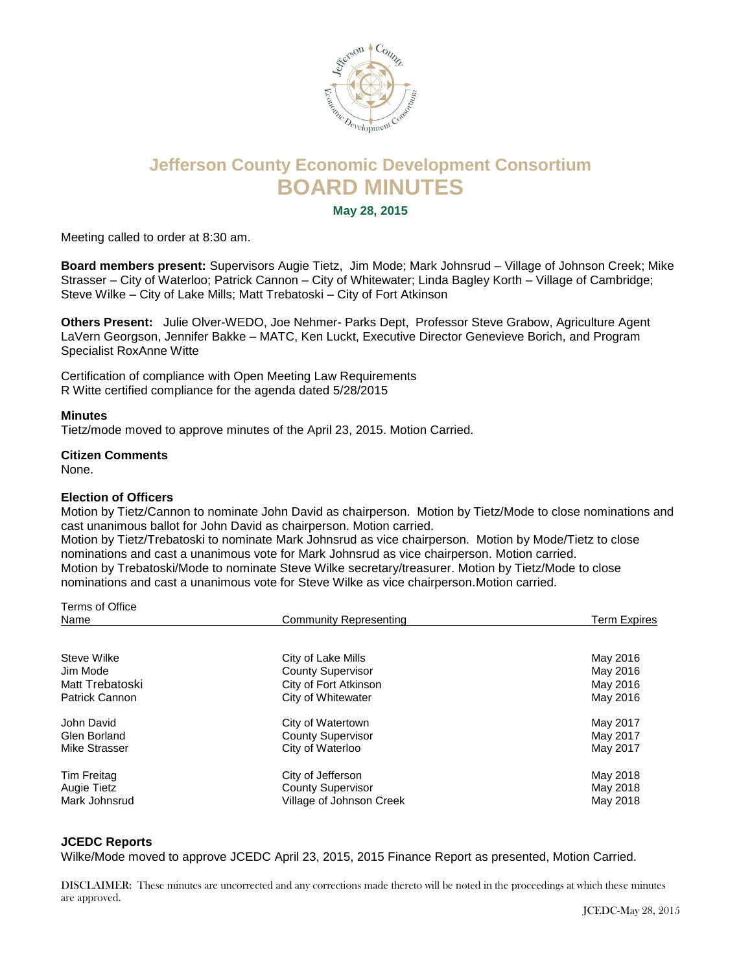

# **Jefferson County Economic Development Consortium BOARD MINUTES**

**May 28, 2015**

Meeting called to order at 8:30 am.

**Board members present:** Supervisors Augie Tietz, Jim Mode; Mark Johnsrud – Village of Johnson Creek; Mike Strasser – City of Waterloo; Patrick Cannon – City of Whitewater; Linda Bagley Korth – Village of Cambridge; Steve Wilke – City of Lake Mills; Matt Trebatoski – City of Fort Atkinson

**Others Present:** Julie Olver-WEDO, Joe Nehmer- Parks Dept, Professor Steve Grabow, Agriculture Agent LaVern Georgson, Jennifer Bakke – MATC, Ken Luckt, Executive Director Genevieve Borich, and Program Specialist RoxAnne Witte

Certification of compliance with Open Meeting Law Requirements R Witte certified compliance for the agenda dated 5/28/2015

#### **Minutes**

Tietz/mode moved to approve minutes of the April 23, 2015. Motion Carried.

## **Citizen Comments**

None.

## **Election of Officers**

Motion by Tietz/Cannon to nominate John David as chairperson. Motion by Tietz/Mode to close nominations and cast unanimous ballot for John David as chairperson. Motion carried.

Motion by Tietz/Trebatoski to nominate Mark Johnsrud as vice chairperson. Motion by Mode/Tietz to close nominations and cast a unanimous vote for Mark Johnsrud as vice chairperson. Motion carried. Motion by Trebatoski/Mode to nominate Steve Wilke secretary/treasurer. Motion by Tietz/Mode to close nominations and cast a unanimous vote for Steve Wilke as vice chairperson.Motion carried.

| Terms of Office    |                          |                     |
|--------------------|--------------------------|---------------------|
| Name               | Community Representing   | <b>Term Expires</b> |
|                    |                          |                     |
| Steve Wilke        | City of Lake Mills       | May 2016            |
| Jim Mode           | <b>County Supervisor</b> | May 2016            |
| Matt Trebatoski    | City of Fort Atkinson    | May 2016            |
| Patrick Cannon     | City of Whitewater       | May 2016            |
| John David         | City of Watertown        | May 2017            |
| Glen Borland       | <b>County Supervisor</b> | May 2017            |
| Mike Strasser      | City of Waterloo         | May 2017            |
| Tim Freitag        | City of Jefferson        | May 2018            |
| <b>Augie Tietz</b> | <b>County Supervisor</b> | May 2018            |
| Mark Johnsrud      | Village of Johnson Creek | May 2018            |
|                    |                          |                     |

#### **JCEDC Reports**

Wilke/Mode moved to approve JCEDC April 23, 2015, 2015 Finance Report as presented, Motion Carried.

DISCLAIMER: These minutes are uncorrected and any corrections made thereto will be noted in the proceedings at which these minutes are approved.